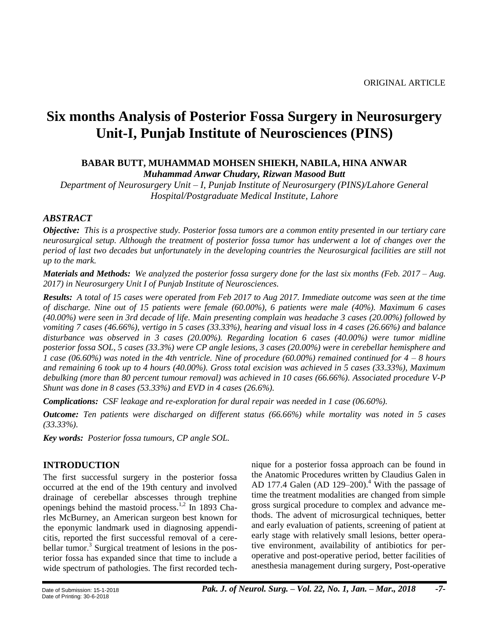# **Six months Analysis of Posterior Fossa Surgery in Neurosurgery Unit-I, Punjab Institute of Neurosciences (PINS)**

## **BABAR BUTT, MUHAMMAD MOHSEN SHIEKH, NABILA, HINA ANWAR** *Muhammad Anwar Chudary, Rizwan Masood Butt*

*Department of Neurosurgery Unit – I, Punjab Institute of Neurosurgery (PINS)/Lahore General Hospital/Postgraduate Medical Institute, Lahore*

## *ABSTRACT*

*Objective: This is a prospective study. Posterior fossa tumors are a common entity presented in our tertiary care neurosurgical setup. Although the treatment of posterior fossa tumor has underwent a lot of changes over the period of last two decades but unfortunately in the developing countries the Neurosurgical facilities are still not up to the mark.*

*Materials and Methods: We analyzed the posterior fossa surgery done for the last six months (Feb. 2017 – Aug. 2017) in Neurosurgery Unit I of Punjab Institute of Neurosciences.*

*Results: A total of 15 cases were operated from Feb 2017 to Aug 2017. Immediate outcome was seen at the time of discharge. Nine out of 15 patients were female (60.00%), 6 patients were male (40%). Maximum 6 cases (40.00%) were seen in 3rd decade of life. Main presenting complain was headache 3 cases (20.00%) followed by vomiting 7 cases (46.66%), vertigo in 5 cases (33.33%), hearing and visual loss in 4 cases (26.66%) and balance disturbance was observed in 3 cases (20.00%). Regarding location 6 cases (40.00%) were tumor midline posterior fossa SOL, 5 cases (33.3%) were CP angle lesions, 3 cases (20.00%) were in cerebellar hemisphere and 1 case (06.60%) was noted in the 4th ventricle. Nine of procedure (60.00%) remained continued for 4 – 8 hours and remaining 6 took up to 4 hours (40.00%). Gross total excision was achieved in 5 cases (33.33%), Maximum debulking (more than 80 percent tumour removal) was achieved in 10 cases (66.66%). Associated procedure V-P Shunt was done in 8 cases (53.33%) and EVD in 4 cases (26.6%).*

*Complications: CSF leakage and re-exploration for dural repair was needed in 1 case (06.60%).*

*Outcome: Ten patients were discharged on different status (66.66%) while mortality was noted in 5 cases (33.33%).*

*Key words: Posterior fossa tumours, CP angle SOL.*

## **INTRODUCTION**

The first successful surgery in the posterior fossa occurred at the end of the 19th century and involved drainage of cerebellar abscesses through trephine openings behind the mastoid process.<sup>1,2</sup> In 1893 Charles McBurney, an American surgeon best known for the eponymic landmark used in diagnosing appendicitis, reported the first successful removal of a cerebellar tumor.<sup>3</sup> Surgical treatment of lesions in the posterior fossa has expanded since that time to include a wide spectrum of pathologies. The first recorded technique for a posterior fossa approach can be found in the Anatomic Procedures written by Claudius Galen in AD 177.4 Galen (AD 129–200).<sup>4</sup> With the passage of time the treatment modalities are changed from simple gross surgical procedure to complex and advance methods. The advent of microsurgical techniques, better and early evaluation of patients, screening of patient at early stage with relatively small lesions, better operative environment, availability of antibiotics for peroperative and post-operative period, better facilities of anesthesia management during surgery, Post-operative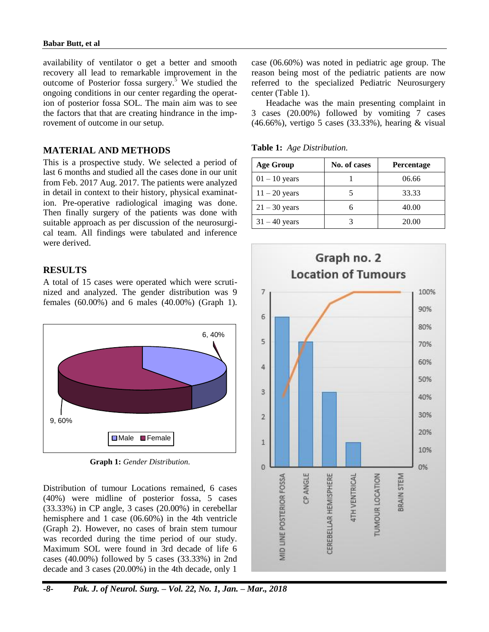availability of ventilator o get a better and smooth recovery all lead to remarkable improvement in the outcome of Posterior fossa surgery.<sup>5</sup> We studied the ongoing conditions in our center regarding the operation of posterior fossa SOL. The main aim was to see the factors that that are creating hindrance in the improvement of outcome in our setup.

## **MATERIAL AND METHODS**

This is a prospective study. We selected a period of last 6 months and studied all the cases done in our unit from Feb. 2017 Aug. 2017. The patients were analyzed in detail in context to their history, physical examination. Pre-operative radiological imaging was done. Then finally surgery of the patients was done with suitable approach as per discussion of the neurosurgical team. All findings were tabulated and inference were derived.

## **RESULTS**

A total of 15 cases were operated which were scrutinized and analyzed. The gender distribution was 9 females (60.00%) and 6 males (40.00%) (Graph 1).



**Graph 1:** *Gender Distribution.*

Distribution of tumour Locations remained, 6 cases (40%) were midline of posterior fossa, 5 cases (33.33%) in CP angle, 3 cases (20.00%) in cerebellar hemisphere and 1 case (06.60%) in the 4th ventricle (Graph 2). However, no cases of brain stem tumour was recorded during the time period of our study. Maximum SOL were found in 3rd decade of life 6 cases (40.00%) followed by 5 cases (33.33%) in 2nd decade and 3 cases (20.00%) in the 4th decade, only 1

case (06.60%) was noted in pediatric age group. The reason being most of the pediatric patients are now referred to the specialized Pediatric Neurosurgery center (Table 1).

Headache was the main presenting complaint in 3 cases (20.00%) followed by vomiting 7 cases (46.66%), vertigo 5 cases (33.33%), hearing & visual

**Table 1:** *Age Distribution.*

| <b>Age Group</b> | No. of cases | <b>Percentage</b> |
|------------------|--------------|-------------------|
| $01 - 10$ years  |              | 06.66             |
| $11 - 20$ years  |              | 33.33             |
| $21 - 30$ years  | h            | 40.00             |
| $31 - 40$ years  |              | 20.00             |

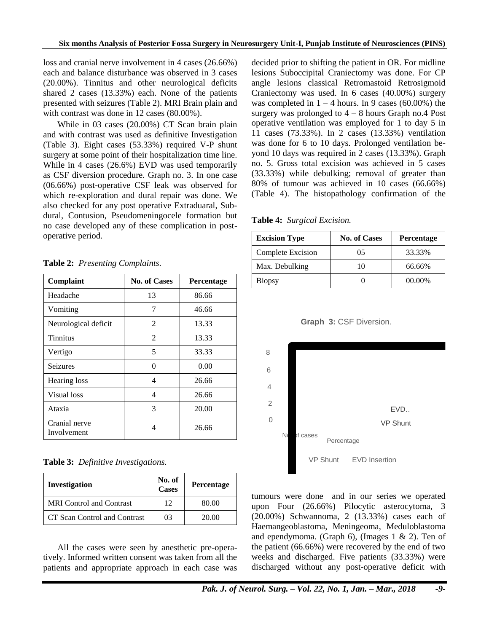loss and cranial nerve involvement in 4 cases (26.66%) each and balance disturbance was observed in 3 cases (20.00%). Tinnitus and other neurological deficits shared 2 cases (13.33%) each. None of the patients presented with seizures (Table 2). MRI Brain plain and with contrast was done in 12 cases (80.00%).

While in 03 cases (20.00%) CT Scan brain plain and with contrast was used as definitive Investigation (Table 3). Eight cases (53.33%) required V-P shunt surgery at some point of their hospitalization time line. While in 4 cases (26.6%) EVD was used temporarily as CSF diversion procedure. Graph no. 3. In one case (06.66%) post-operative CSF leak was observed for which re-exploration and dural repair was done. We also checked for any post operative Extraduaral, Subdural, Contusion, Pseudomeningocele formation but no case developed any of these complication in postoperative period.

|  | Table 2: Presenting Complaints. |  |  |
|--|---------------------------------|--|--|
|--|---------------------------------|--|--|

| Complaint                    | <b>No. of Cases</b> | Percentage |
|------------------------------|---------------------|------------|
| Headache                     | 13                  | 86.66      |
| Vomiting                     | 7                   | 46.66      |
| Neurological deficit         | $\mathfrak{D}$      | 13.33      |
| <b>Tinnitus</b>              | $\overline{2}$      | 13.33      |
| Vertigo                      | 5                   | 33.33      |
| <b>Seizures</b>              | 0                   | 0.00       |
| Hearing loss                 | 4                   | 26.66      |
| Visual loss                  | 4                   | 26.66      |
| Ataxia                       | 3                   | 20.00      |
| Cranial nerve<br>Involvement | 4                   | 26.66      |

**Table 3:** *Definitive Investigations.*

| <b>Investigation</b>            | No. of<br><b>Cases</b> | Percentage |
|---------------------------------|------------------------|------------|
| <b>MRI</b> Control and Contrast | 12                     | 80.00      |
| CT Scan Control and Contrast    | 03                     | 20.00      |

All the cases were seen by anesthetic pre-operatively. Informed written consent was taken from all the patients and appropriate approach in each case was decided prior to shifting the patient in OR. For midline lesions Suboccipital Craniectomy was done. For CP angle lesions classical Retromastoid Retrosigmoid Craniectomy was used. In 6 cases (40.00%) surgery was completed in  $1 - 4$  hours. In 9 cases (60.00%) the surgery was prolonged to  $4 - 8$  hours Graph no.4 Post operative ventilation was employed for 1 to day 5 in 11 cases (73.33%). In 2 cases (13.33%) ventilation was done for 6 to 10 days. Prolonged ventilation beyond 10 days was required in 2 cases (13.33%). Graph no. 5. Gross total excision was achieved in 5 cases (33.33%) while debulking; removal of greater than 80% of tumour was achieved in 10 cases (66.66%) (Table 4). The histopathology confirmation of the

**Table 4:** *Surgical Excision.*

| <b>Excision Type</b> | No. of Cases | <b>Percentage</b> |
|----------------------|--------------|-------------------|
| Complete Excision    | 05           | 33.33%            |
| Max. Debulking       | 10           | 66.66%            |
| <b>Biopsy</b>        |              | 00.00%            |

**Graph 3:** CSF Diversion.



tumours were done and in our series we operated upon Four (26.66%) Pilocytic asterocytoma, 3 (20.00%) Schwannoma, 2 (13.33%) cases each of Haemangeoblastoma, Meningeoma, Meduloblastoma and ependymoma. (Graph 6), (Images  $1 \& 2$ ). Ten of the patient (66.66%) were recovered by the end of two weeks and discharged. Five patients (33.33%) were discharged without any post-operative deficit with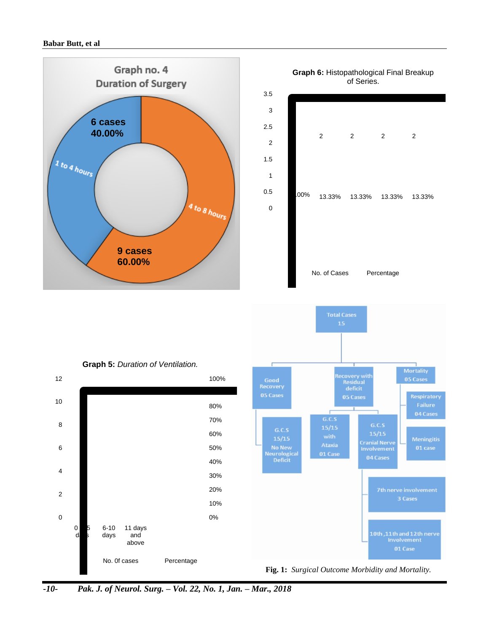#### **Babar Butt, et al**





*-10- Pak. J. of Neurol. Surg. – Vol. 22, No. 1, Jan. – Mar., 2018*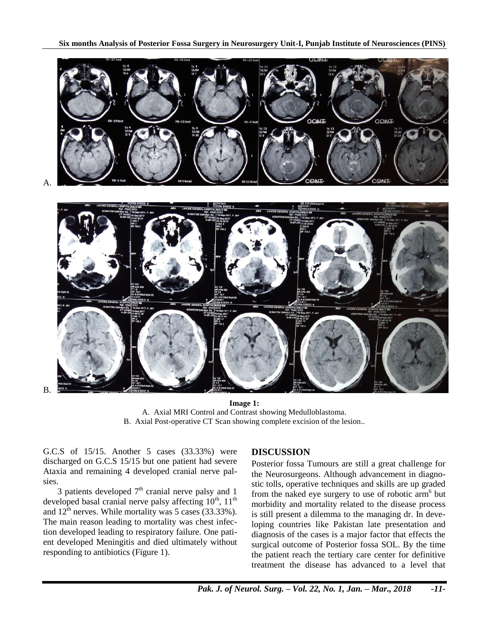

A.

B.



**Image 1:** A. Axial MRI Control and Contrast showing Medulloblastoma. B. Axial Post-operative CT Scan showing complete excision of the lesion..

G.C.S of 15/15. Another 5 cases (33.33%) were discharged on G.C.S 15/15 but one patient had severe Ataxia and remaining 4 developed cranial nerve palsies.

3 patients developed  $7<sup>th</sup>$  cranial nerve palsy and 1 developed basal cranial nerve palsy affecting  $10^{th}$ ,  $11^{th}$ and  $12^{th}$  nerves. While mortality was 5 cases (33.33%). The main reason leading to mortality was chest infection developed leading to respiratory failure. One patient developed Meningitis and died ultimately without responding to antibiotics (Figure 1).

## **DISCUSSION**

Posterior fossa Tumours are still a great challenge for the Neurosurgeons. Although advancement in diagnostic tolls, operative techniques and skills are up graded from the naked eye surgery to use of robotic arm<sup>6</sup> but morbidity and mortality related to the disease process is still present a dilemma to the managing dr. In developing countries like Pakistan late presentation and diagnosis of the cases is a major factor that effects the surgical outcome of Posterior fossa SOL. By the time the patient reach the tertiary care center for definitive treatment the disease has advanced to a level that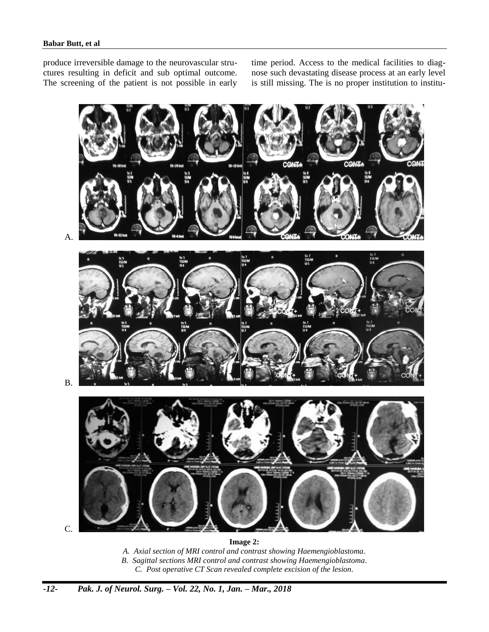produce irreversible damage to the neurovascular structures resulting in deficit and sub optimal outcome. The screening of the patient is not possible in early time period. Access to the medical facilities to diagnose such devastating disease process at an early level is still missing. The is no proper institution to institu-



**Image 2:**

*A. Axial section of MRI control and contrast showing Haemengioblastoma.*

*B. Sagittal sections MRI control and contrast showing Haemengioblastoma.*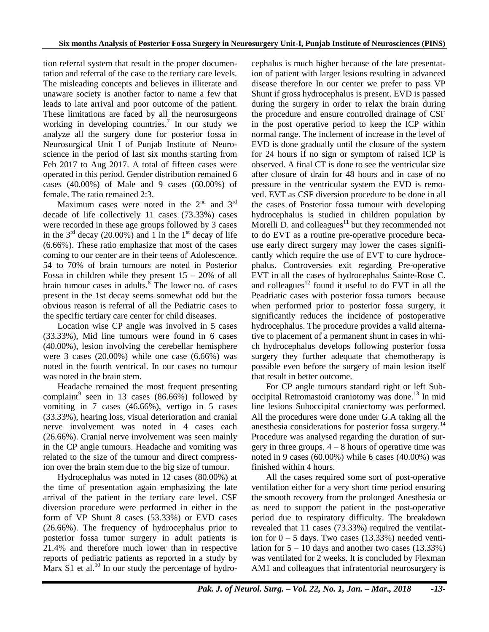tion referral system that result in the proper documentation and referral of the case to the tertiary care levels. The misleading concepts and believes in illiterate and unaware society is another factor to name a few that leads to late arrival and poor outcome of the patient. These limitations are faced by all the neurosurgeons working in developing countries.<sup>7</sup> In our study we analyze all the surgery done for posterior fossa in Neurosurgical Unit I of Punjab Institute of Neuroscience in the period of last six months starting from Feb 2017 to Aug 2017. A total of fifteen cases were operated in this period. Gender distribution remained 6 cases (40.00%) of Male and 9 cases (60.00%) of female. The ratio remained 2:3.

Maximum cases were noted in the  $2<sup>nd</sup>$  and  $3<sup>rd</sup>$ decade of life collectively 11 cases (73.33%) cases were recorded in these age groups followed by 3 cases in the  $3<sup>rd</sup>$  decay (20.00%) and 1 in the  $1<sup>st</sup>$  decay of life (6.66%). These ratio emphasize that most of the cases coming to our center are in their teens of Adolescence. 54 to 70% of brain tumours are noted in Posterior Fossa in children while they present  $15 - 20\%$  of all brain tumour cases in adults.<sup>8</sup> The lower no. of cases present in the 1st decay seems somewhat odd but the obvious reason is referral of all the Pediatric cases to the specific tertiary care center for child diseases.

Location wise CP angle was involved in 5 cases (33.33%), Mid line tumours were found in 6 cases (40.00%), lesion involving the cerebellar hemisphere were 3 cases (20.00%) while one case (6.66%) was noted in the fourth ventrical. In our cases no tumour was noted in the brain stem.

Headache remained the most frequent presenting complaint<sup>9</sup> seen in 13 cases  $(86.66\%)$  followed by vomiting in 7 cases (46.66%), vertigo in 5 cases (33.33%), hearing loss, visual deterioration and cranial nerve involvement was noted in 4 cases each (26.66%). Cranial nerve involvement was seen mainly in the CP angle tumours. Headache and vomiting was related to the size of the tumour and direct compression over the brain stem due to the big size of tumour.

Hydrocephalus was noted in 12 cases (80.00%) at the time of presentation again emphasizing the late arrival of the patient in the tertiary care level. CSF diversion procedure were performed in either in the form of VP Shunt 8 cases (53.33%) or EVD cases (26.66%). The frequency of hydrocephalus prior to posterior fossa tumor surgery in adult patients is 21.4% and therefore much lower than in respective reports of pediatric patients as reported in a study by Marx S1 et al.<sup>10</sup> In our study the percentage of hydrocephalus is much higher because of the late presentation of patient with larger lesions resulting in advanced disease therefore In our center we prefer to pass VP Shunt if gross hydrocephalus is present. EVD is passed during the surgery in order to relax the brain during the procedure and ensure controlled drainage of CSF in the post operative period to keep the ICP within normal range. The inclement of increase in the level of EVD is done gradually until the closure of the system for 24 hours if no sign or symptom of raised ICP is observed. A final CT is done to see the ventricular size after closure of drain for 48 hours and in case of no pressure in the ventricular system the EVD is removed. EVT as CSF diversion procedure to be done in all the cases of Posterior fossa tumour with developing hydrocephalus is studied in children population by Morelli  $\tilde{D}$ , and colleagues<sup>11</sup> but they recommended not to do EVT as a routine pre-operative procedure because early direct surgery may lower the cases significantly which require the use of EVT to cure hydrocephalus. Controversies exit regarding Pre-operative EVT in all the cases of hydrocephalus Sainte-Rose C. and colleagues<sup>12</sup> found it useful to do EVT in all the Peadriatic cases with posterior fossa tumors because when performed prior to posterior fossa surgery, it significantly reduces the incidence of postoperative hydrocephalus. The procedure provides a valid alternative to placement of a permanent shunt in cases in which hydrocephalus develops following posterior fossa surgery they further adequate that chemotherapy is possible even before the surgery of main lesion itself that result in better outcome.

For CP angle tumours standard right or left Suboccipital Retromastoid craniotomy was done.<sup>13</sup> In mid line lesions Suboccipital craniectomy was performed. All the procedures were done under G.A taking all the anesthesia considerations for posterior fossa surgery.<sup>14</sup> Procedure was analysed regarding the duration of surgery in three groups.  $4 - 8$  hours of operative time was noted in 9 cases (60.00%) while 6 cases (40.00%) was finished within 4 hours.

All the cases required some sort of post-operative ventilation either for a very short time period ensuring the smooth recovery from the prolonged Anesthesia or as need to support the patient in the post-operative period due to respiratory difficulty. The breakdown revealed that 11 cases (73.33%) required the ventilation for  $0 - 5$  days. Two cases (13.33%) needed ventilation for  $5 - 10$  days and another two cases  $(13.33\%)$ was ventilated for 2 weeks. It is concluded by Flexman AM1 and colleagues that infratentorial neurosurgery is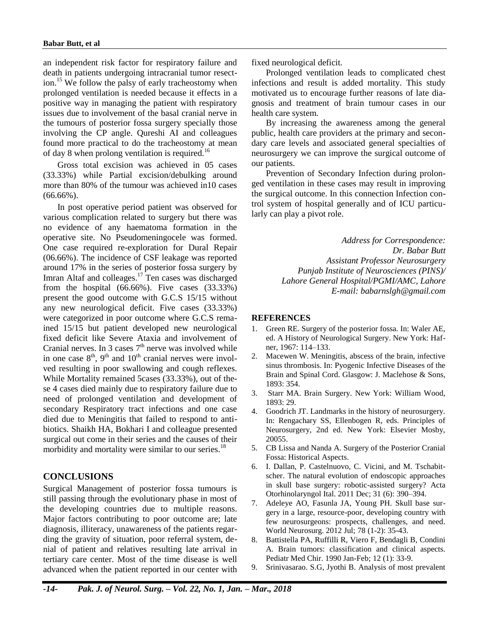an independent risk factor for respiratory failure and death in patients undergoing intracranial tumor resection.<sup>15</sup> We follow the palsy of early tracheostomy when prolonged ventilation is needed because it effects in a positive way in managing the patient with respiratory issues due to involvement of the basal cranial nerve in the tumours of posterior fossa surgery specially those involving the CP angle. Qureshi AI and colleagues found more practical to do the tracheostomy at mean of day 8 when prolong ventilation is required.<sup>16</sup>

Gross total excision was achieved in 05 cases (33.33%) while Partial excision/debulking around more than 80% of the tumour was achieved in10 cases  $(66.66\%)$ .

In post operative period patient was observed for various complication related to surgery but there was no evidence of any haematoma formation in the operative site. No Pseudomeningocele was formed. One case required re-exploration for Dural Repair (06.66%). The incidence of CSF leakage was reported around 17% in the series of posterior fossa surgery by Imran Altaf and colleages.<sup>17</sup> Ten cases was discharged from the hospital (66.66%). Five cases (33.33%) present the good outcome with G.C.S 15/15 without any new neurological deficit. Five cases (33.33%) were categorized in poor outcome where G.C.S remained 15/15 but patient developed new neurological fixed deficit like Severe Ataxia and involvement of Cranial nerves. In 3 cases  $7<sup>th</sup>$  nerve was involved while in one case  $8<sup>th</sup>$ ,  $9<sup>th</sup>$  and  $10<sup>th</sup>$  cranial nerves were involved resulting in poor swallowing and cough reflexes. While Mortality remained 5cases (33.33%), out of these 4 cases died mainly due to respiratory failure due to need of prolonged ventilation and development of secondary Respiratory tract infections and one case died due to Meningitis that failed to respond to antibiotics. Shaikh HA, Bokhari I and colleague presented surgical out come in their series and the causes of their morbidity and mortality were similar to our series.<sup>18</sup>

#### **CONCLUSIONS**

Surgical Management of posterior fossa tumours is still passing through the evolutionary phase in most of the developing countries due to multiple reasons. Major factors contributing to poor outcome are; late diagnosis, illiteracy, unawareness of the patients regarding the gravity of situation, poor referral system, denial of patient and relatives resulting late arrival in tertiary care center. Most of the time disease is well advanced when the patient reported in our center with fixed neurological deficit.

Prolonged ventilation leads to complicated chest infections and result is added mortality. This study motivated us to encourage further reasons of late diagnosis and treatment of brain tumour cases in our health care system.

By increasing the awareness among the general public, health care providers at the primary and secondary care levels and associated general specialties of neurosurgery we can improve the surgical outcome of our patients.

Prevention of Secondary Infection during prolonged ventilation in these cases may result in improving the surgical outcome. In this connection Infection control system of hospital generally and of ICU particularly can play a pivot role.

> *Address for Correspondence: Dr. Babar Butt Assistant Professor Neurosurgery Punjab Institute of Neurosciences (PINS)/ Lahore General Hospital/PGMI/AMC, Lahore E-mail: babarnslgh@gmail.com*

## **REFERENCES**

- 1. Green RE. Surgery of the posterior fossa. In: Waler AE, ed. A History of Neurological Surgery. New York: Hafner, 1967: 114–133.
- 2. Macewen W. Meningitis, abscess of the brain, infective sinus thrombosis. In: Pyogenic Infective Diseases of the Brain and Spinal Cord. Glasgow: J. Maclehose & Sons, 1893: 354.
- 3. Starr MA. Brain Surgery. New York: William Wood, 1893: 29.
- 4. Goodrich JT. Landmarks in the history of neurosurgery. In: Rengachary SS, Ellenbogen R, eds. Principles of Neurosurgery, 2nd ed. New York: Elsevier Mosby, 20055.
- 5. CB Lissa and Nanda A. Surgery of the Posterior Cranial Fossa: Historical Aspects.
- 6. I. Dallan, P. Castelnuovo, C. Vicini, and M. Tschabitscher. The natural evolution of endoscopic approaches in skull base surgery: robotic-assisted surgery? Acta Otorhinolaryngol Ital. 2011 Dec; 31 (6): 390–394.
- 7. Adeleye AO, Fasunla JA, Young PH. Skull base surgery in a large, resource-poor, developing country with few neurosurgeons: prospects, challenges, and need. World Neurosurg. 2012 Jul; 78 (1-2): 35-43.
- 8. Battistella PA, Ruffilli R, Viero F, Bendagli B, Condini A. Brain tumors: classification and clinical aspects. Pediatr Med Chir. 1990 Jan-Feb; 12 (1): 33-9.
- 9. Srinivasarao. S.G, Jyothi B. Analysis of most prevalent